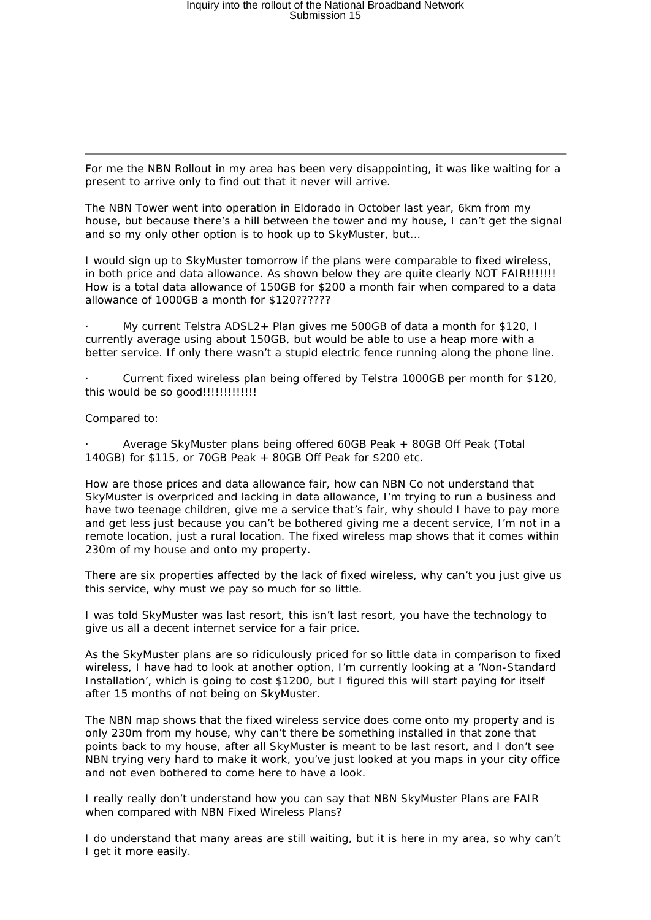For me the NBN Rollout in my area has been very disappointing, it was like waiting for a present to arrive only to find out that it never will arrive.

The NBN Tower went into operation in Eldorado in October last year, 6km from my house, but because there's a hill between the tower and my house, I can't get the signal and so my only other option is to hook up to SkyMuster, but…

I would sign up to SkyMuster tomorrow if the plans were comparable to fixed wireless, in both price and data allowance. As shown below they are quite clearly NOT FAIR!!!!!!! How is a total data allowance of 150GB for \$200 a month fair when compared to a data allowance of 1000GB a month for \$120??????

· My current Telstra ADSL2+ Plan gives me 500GB of data a month for \$120, I currently average using about 150GB, but would be able to use a heap more with a better service. If only there wasn't a stupid electric fence running along the phone line.

Current fixed wireless plan being offered by Telstra 1000GB per month for \$120, this would be so good!!!!!!!!!!!!!

Compared to:

· Average SkyMuster plans being offered 60GB Peak + 80GB Off Peak (Total 140GB) for \$115, or 70GB Peak + 80GB Off Peak for \$200 etc.

How are those prices and data allowance fair, how can NBN Co not understand that SkyMuster is overpriced and lacking in data allowance, I'm trying to run a business and have two teenage children, give me a service that's fair, why should I have to pay more and get less just because you can't be bothered giving me a decent service, I'm not in a remote location, just a rural location. The fixed wireless map shows that it comes within 230m of my house and onto my property.

There are six properties affected by the lack of fixed wireless, why can't you just give us this service, why must we pay so much for so little.

I was told SkyMuster was last resort, this isn't last resort, you have the technology to give us all a decent internet service for a fair price.

As the SkyMuster plans are so ridiculously priced for so little data in comparison to fixed wireless, I have had to look at another option, I'm currently looking at a 'Non-Standard Installation', which is going to cost \$1200, but I figured this will start paying for itself after 15 months of not being on SkyMuster.

The NBN map shows that the fixed wireless service does come onto my property and is only 230m from my house, why can't there be something installed in that zone that points back to my house, after all SkyMuster is meant to be last resort, and I don't see NBN trying very hard to make it work, you've just looked at you maps in your city office and not even bothered to come here to have a look.

I really really don't understand how you can say that NBN SkyMuster Plans are FAIR when compared with NBN Fixed Wireless Plans?

I do understand that many areas are still waiting, but it is here in my area, so why can't I get it more easily.